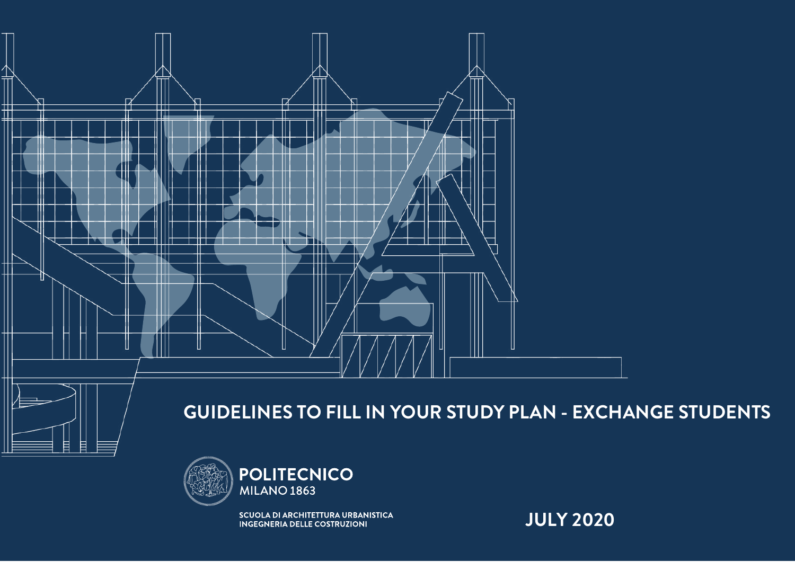

## **GUIDELINES TO FILL IN YOUR STUDY PLAN - EXCHANGE STUDENTS**



**SCUOLA DI ARCHITETTURA URBANISTICA** INGEGNERIA DELLE COSTRUZIONI

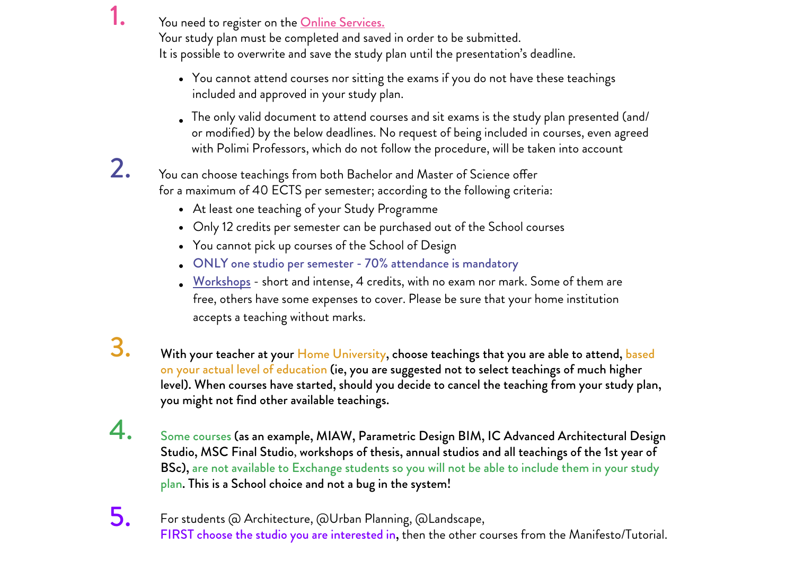You need to register on the **[Online Services.](https://aunicalogin.polimi.it/aunicalogin/aunicalogin.jsp?id_servizio=376&profile=0&polij_device_category=DESKTOP&__pj0=0&__pj1=0889ac381a6a782bc492b09e458382a7)** 

Your study plan must be completed and saved in order to be submitted. It is possible to overwrite and save the study plan until the presentation's deadline.

- You cannot attend courses nor sitting the exams if you do not have these teachings included and approved in your study plan.
- The only valid document to attend courses and sit exams is the study plan presented (and/ or modified) by the below deadlines. No request of being included in courses, even agreed with Polimi Professors, which do not follow the procedure, will be taken into account

You can choose teachings from both Bachelor and Master of Science offer for a maximum of 40 ECTS per semester; according to the following criteria:

- At least one teaching of your Study Programme
- Only 12 credits per semester can be purchased out of the School courses
- You cannot pick up courses of the School of Design
- ONLY one studio per semester 70% attendance is mandatory
- [Workshops](http://www.auic.polimi.it/en/educational-offer/workshops/) short and intense, 4 credits, with no exam nor mark. Some of them are free, others have some expenses to cover. Please be sure that your home institution accepts a teaching without marks.

3.

1.

2.

With your teacher at your Home University, choose teachings that you are able to attend, based on your actual level of education (ie, you are suggested not to select teachings of much higher level). When courses have started, should you decide to cancel the teaching from your study plan, you might not find other available teachings.

- 4. Some courses (as an example, MIAW, Parametric Design BIM, IC Advanced Architectural Design Studio, MSC Final Studio, workshops of thesis, annual studios and all teachings of the 1st year of BSc), are not available to Exchange students so you will not be able to include them in your study plan. This is a School choice and not a bug in the system!
- For students @ Architecture, @Urban Planning, @Landscape, FIRST choose the studio you are interested in, then the other courses from the Manifesto/Tutorial. 5.